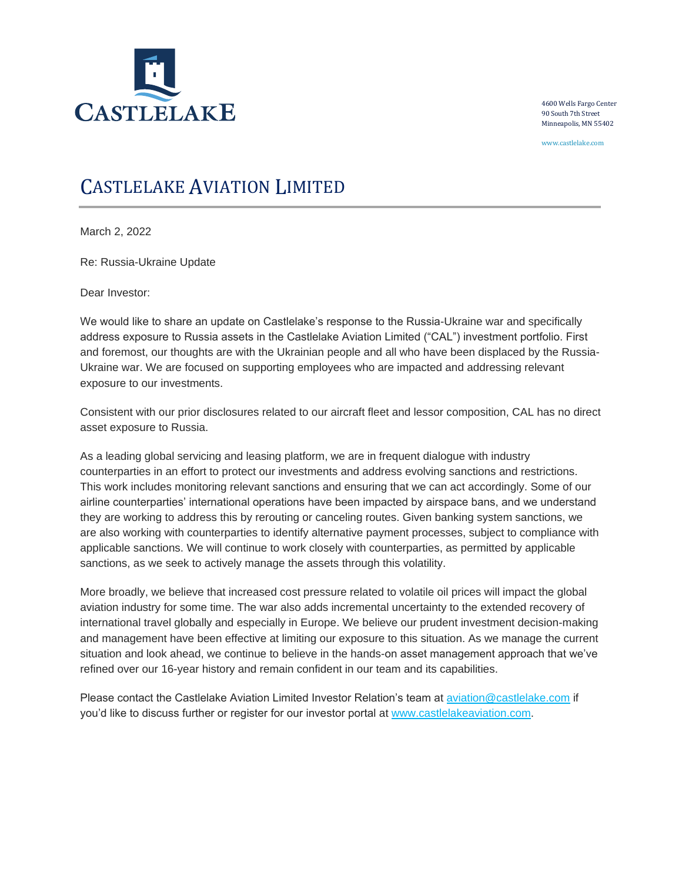

4600 Wells Fargo Center 90 South 7th Street Minneapolis, MN 55402

www.castlelake.com

## CASTLELAKE AVIATION LIMITED

March 2, 2022

Re: Russia-Ukraine Update

Dear Investor:

We would like to share an update on Castlelake's response to the Russia-Ukraine war and specifically address exposure to Russia assets in the Castlelake Aviation Limited ("CAL") investment portfolio. First and foremost, our thoughts are with the Ukrainian people and all who have been displaced by the Russia-Ukraine war. We are focused on supporting employees who are impacted and addressing relevant exposure to our investments.

Consistent with our prior disclosures related to our aircraft fleet and lessor composition, CAL has no direct asset exposure to Russia.

As a leading global servicing and leasing platform, we are in frequent dialogue with industry counterparties in an effort to protect our investments and address evolving sanctions and restrictions. This work includes monitoring relevant sanctions and ensuring that we can act accordingly. Some of our airline counterparties' international operations have been impacted by airspace bans, and we understand they are working to address this by rerouting or canceling routes. Given banking system sanctions, we are also working with counterparties to identify alternative payment processes, subject to compliance with applicable sanctions. We will continue to work closely with counterparties, as permitted by applicable sanctions, as we seek to actively manage the assets through this volatility.

More broadly, we believe that increased cost pressure related to volatile oil prices will impact the global aviation industry for some time. The war also adds incremental uncertainty to the extended recovery of international travel globally and especially in Europe. We believe our prudent investment decision-making and management have been effective at limiting our exposure to this situation. As we manage the current situation and look ahead, we continue to believe in the hands-on asset management approach that we've refined over our 16-year history and remain confident in our team and its capabilities.

Please contact the Castlelake Aviation Limited Investor Relation's team at [aviation@castlelake.com](mailto:aviation@castlelake.com) if you'd like to discuss further or register for our investor portal at [www.castlelakeaviation.com.](http://www.castlelakeaviation.com/)